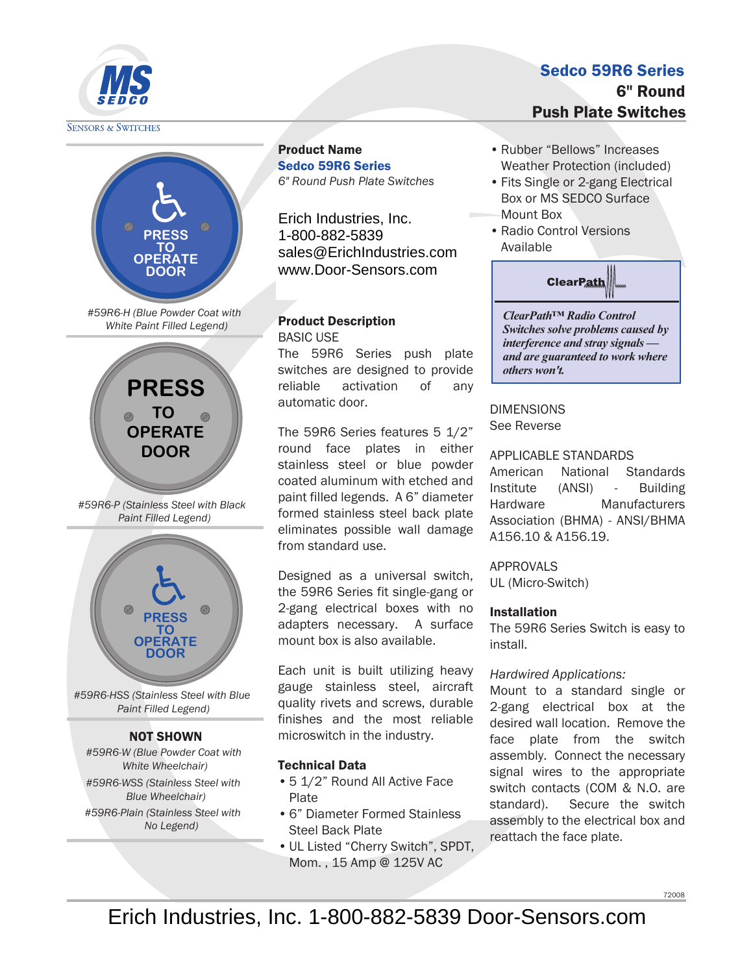

**SENSORS & SWITCHES** 



*#59R6-H (Blue Powder Coat with White Paint Filled Legend)*



*#59R6-P (Stainless Steel with Black Paint Filled Legend)*



*#59R6-HSS (Stainless Steel with Blue Paint Filled Legend)*

## NOT SHOWN

*#59R6-W (Blue Powder Coat with White Wheelchair)*

*#59R6-WSS (Stainless Steel with Blue Wheelchair)*

*#59R6-Plain (Stainless Steel with No Legend)*

Product Name Sedco 59R6 Series *6" Round Push Plate Switches*

Erich Industries, Inc. MS SEDCO 1-800-882-5839  $8700 - 002 - 0039$ sales@ErichIndustries.com www.Door-Sensors.com

### Product Description BASIC USE

The 59R6 Series push plate switches are designed to provide reliable activation of any automatic door.

The 59R6 Series features 5 1/2" round face plates in either stainless steel or blue powder coated aluminum with etched and paint filled legends. A 6" diameter formed stainless steel back plate eliminates possible wall damage from standard use.

Designed as a universal switch, the 59R6 Series fit single-gang or 2-gang electrical boxes with no adapters necessary. A surface mount box is also available.

Each unit is built utilizing heavy gauge stainless steel, aircraft quality rivets and screws, durable finishes and the most reliable microswitch in the industry.

## Technical Data

- 5 1/2" Round All Active Face Plate
- 6" Diameter Formed Stainless Steel Back Plate
- UL Listed "Cherry Switch", SPDT, Mom. , 15 Amp @ 125V AC

## Sedco 59R6 Series 6" Round Push Plate Switches

- Rubber "Bellows" Increases Weather Protection (included)
- Fits Single or 2-gang Electrical Box or MS SEDCO Surface Mount Box
- Radio Control Versions Available



*ClearPath™ Radio Control Switches solve problems caused by interference and stray signals and are guaranteed to work where others won't.* 

DIMENSIONS See Reverse

## APPLICABLE STANDARDS

American National Standards Institute (ANSI) - Building Hardware Manufacturers Association (BHMA) - ANSI/BHMA A156.10 & A156.19.

APPROVALS

UL (Micro-Switch)

## Installation

The 59R6 Series Switch is easy to install.

## *Hardwired Applications:*

Mount to a standard single or 2-gang electrical box at the desired wall location. Remove the face plate from the switch assembly. Connect the necessary signal wires to the appropriate switch contacts (COM & N.O. are standard). Secure the switch assembly to the electrical box and reattach the face plate.